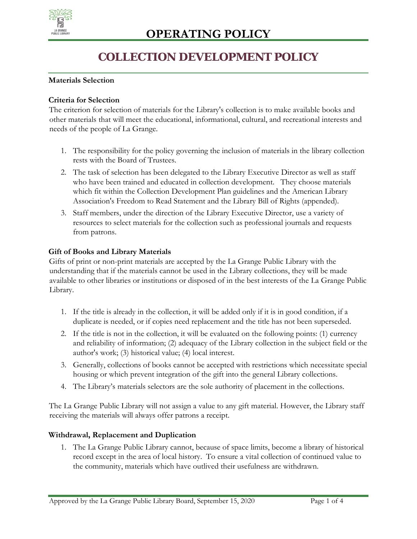

## **COLLECTION DEVELOPMENT POLICY**

#### **Materials Selection**

#### **Criteria for Selection**

The criterion for selection of materials for the Library's collection is to make available books and other materials that will meet the educational, informational, cultural, and recreational interests and needs of the people of La Grange.

- 1. The responsibility for the policy governing the inclusion of materials in the library collection rests with the Board of Trustees.
- 2. The task of selection has been delegated to the Library Executive Director as well as staff who have been trained and educated in collection development. They choose materials which fit within the Collection Development Plan guidelines and the American Library Association's Freedom to Read Statement and the Library Bill of Rights (appended).
- 3. Staff members, under the direction of the Library Executive Director, use a variety of resources to select materials for the collection such as professional journals and requests from patrons.

#### **Gift of Books and Library Materials**

Gifts of print or non-print materials are accepted by the La Grange Public Library with the understanding that if the materials cannot be used in the Library collections, they will be made available to other libraries or institutions or disposed of in the best interests of the La Grange Public Library.

- 1. If the title is already in the collection, it will be added only if it is in good condition, if a duplicate is needed, or if copies need replacement and the title has not been superseded.
- 2. If the title is not in the collection, it will be evaluated on the following points: (1) currency and reliability of information; (2) adequacy of the Library collection in the subject field or the author's work; (3) historical value; (4) local interest.
- 3. Generally, collections of books cannot be accepted with restrictions which necessitate special housing or which prevent integration of the gift into the general Library collections.
- 4. The Library's materials selectors are the sole authority of placement in the collections.

The La Grange Public Library will not assign a value to any gift material. However, the Library staff receiving the materials will always offer patrons a receipt.

#### **Withdrawal, Replacement and Duplication**

1. The La Grange Public Library cannot, because of space limits, become a library of historical record except in the area of local history. To ensure a vital collection of continued value to the community, materials which have outlived their usefulness are withdrawn.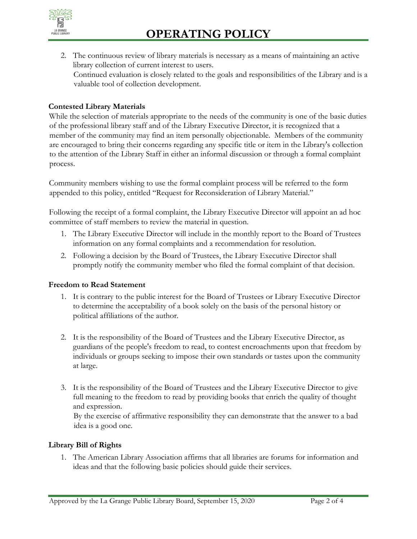

2. The continuous review of library materials is necessary as a means of maintaining an active library collection of current interest to users. Continued evaluation is closely related to the goals and responsibilities of the Library and is a valuable tool of collection development.

#### **Contested Library Materials**

While the selection of materials appropriate to the needs of the community is one of the basic duties of the professional library staff and of the Library Executive Director, it is recognized that a member of the community may find an item personally objectionable. Members of the community are encouraged to bring their concerns regarding any specific title or item in the Library's collection to the attention of the Library Staff in either an informal discussion or through a formal complaint process.

Community members wishing to use the formal complaint process will be referred to the form appended to this policy, entitled "Request for Reconsideration of Library Material."

Following the receipt of a formal complaint, the Library Executive Director will appoint an ad hoc committee of staff members to review the material in question.

- 1. The Library Executive Director will include in the monthly report to the Board of Trustees information on any formal complaints and a recommendation for resolution.
- 2. Following a decision by the Board of Trustees, the Library Executive Director shall promptly notify the community member who filed the formal complaint of that decision.

#### **Freedom to Read Statement**

- 1. It is contrary to the public interest for the Board of Trustees or Library Executive Director to determine the acceptability of a book solely on the basis of the personal history or political affiliations of the author.
- 2. It is the responsibility of the Board of Trustees and the Library Executive Director, as guardians of the people's freedom to read, to contest encroachments upon that freedom by individuals or groups seeking to impose their own standards or tastes upon the community at large.
- 3. It is the responsibility of the Board of Trustees and the Library Executive Director to give full meaning to the freedom to read by providing books that enrich the quality of thought and expression.

By the exercise of affirmative responsibility they can demonstrate that the answer to a bad idea is a good one.

#### **Library Bill of Rights**

1. The American Library Association affirms that all libraries are forums for information and ideas and that the following basic policies should guide their services.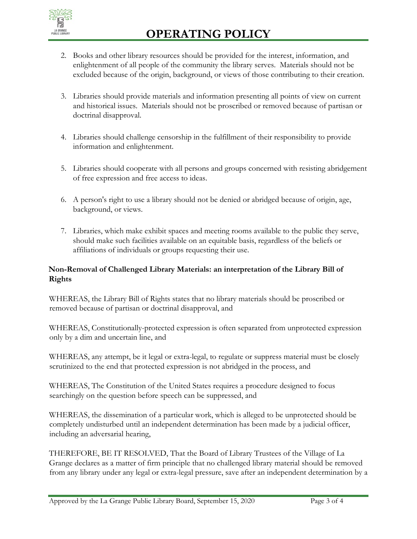

- 2. Books and other library resources should be provided for the interest, information, and enlightenment of all people of the community the library serves. Materials should not be excluded because of the origin, background, or views of those contributing to their creation.
- 3. Libraries should provide materials and information presenting all points of view on current and historical issues. Materials should not be proscribed or removed because of partisan or doctrinal disapproval.
- 4. Libraries should challenge censorship in the fulfillment of their responsibility to provide information and enlightenment.
- 5. Libraries should cooperate with all persons and groups concerned with resisting abridgement of free expression and free access to ideas.
- 6. A person's right to use a library should not be denied or abridged because of origin, age, background, or views.
- 7. Libraries, which make exhibit spaces and meeting rooms available to the public they serve, should make such facilities available on an equitable basis, regardless of the beliefs or affiliations of individuals or groups requesting their use.

### **Non-Removal of Challenged Library Materials: an interpretation of the Library Bill of Rights**

WHEREAS, the Library Bill of Rights states that no library materials should be proscribed or removed because of partisan or doctrinal disapproval, and

WHEREAS, Constitutionally-protected expression is often separated from unprotected expression only by a dim and uncertain line, and

WHEREAS, any attempt, be it legal or extra-legal, to regulate or suppress material must be closely scrutinized to the end that protected expression is not abridged in the process, and

WHEREAS, The Constitution of the United States requires a procedure designed to focus searchingly on the question before speech can be suppressed, and

WHEREAS, the dissemination of a particular work, which is alleged to be unprotected should be completely undisturbed until an independent determination has been made by a judicial officer, including an adversarial hearing,

THEREFORE, BE IT RESOLVED, That the Board of Library Trustees of the Village of La Grange declares as a matter of firm principle that no challenged library material should be removed from any library under any legal or extra-legal pressure, save after an independent determination by a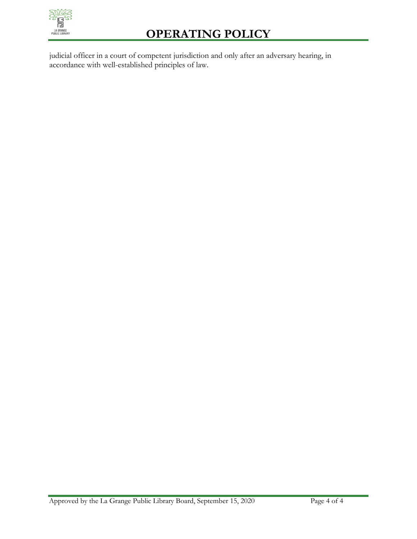

# **OPERATING POLICY**

judicial officer in a court of competent jurisdiction and only after an adversary hearing, in accordance with well-established principles of law.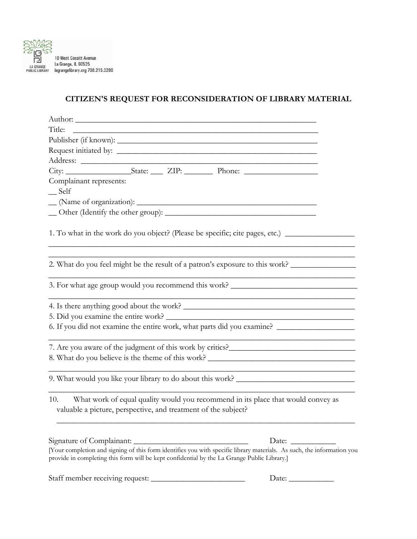

## **CITIZEN'S REQUEST FOR RECONSIDERATION OF LIBRARY MATERIAL**

| Author:                                                                                     |                                                                |  |                                                                                                                         |  |
|---------------------------------------------------------------------------------------------|----------------------------------------------------------------|--|-------------------------------------------------------------------------------------------------------------------------|--|
| Title:                                                                                      |                                                                |  | <u> 1989 - Johann Harry Harry Harry Harry Harry Harry Harry Harry Harry Harry Harry Harry Harry Harry Harry Harry H</u> |  |
|                                                                                             |                                                                |  |                                                                                                                         |  |
|                                                                                             |                                                                |  |                                                                                                                         |  |
|                                                                                             |                                                                |  |                                                                                                                         |  |
|                                                                                             |                                                                |  |                                                                                                                         |  |
| Complainant represents:                                                                     |                                                                |  |                                                                                                                         |  |
| Self                                                                                        |                                                                |  |                                                                                                                         |  |
|                                                                                             |                                                                |  |                                                                                                                         |  |
|                                                                                             |                                                                |  |                                                                                                                         |  |
|                                                                                             |                                                                |  | 1. To what in the work do you object? (Please be specific; cite pages, etc.) ______________________                     |  |
|                                                                                             |                                                                |  | 2. What do you feel might be the result of a patron's exposure to this work?                                            |  |
|                                                                                             |                                                                |  | 3. For what age group would you recommend this work? ____________________________                                       |  |
|                                                                                             |                                                                |  |                                                                                                                         |  |
|                                                                                             |                                                                |  |                                                                                                                         |  |
|                                                                                             |                                                                |  | 6. If you did not examine the entire work, what parts did you examine?                                                  |  |
|                                                                                             |                                                                |  | 7. Are you aware of the judgment of this work by critics?                                                               |  |
|                                                                                             |                                                                |  | 8. What do you believe is the theme of this work? _______________________________                                       |  |
|                                                                                             |                                                                |  | 9. What would you like your library to do about this work? _____________________                                        |  |
| 10.                                                                                         | valuable a picture, perspective, and treatment of the subject? |  | What work of equal quality would you recommend in its place that would convey as                                        |  |
| Signature of Complainant:                                                                   |                                                                |  | Date: $\_\_$                                                                                                            |  |
| provide in completing this form will be kept confidential by the La Grange Public Library.] |                                                                |  | [Your completion and signing of this form identifies you with specific library materials. As such, the information you  |  |
|                                                                                             |                                                                |  | Date: $\_\_$                                                                                                            |  |